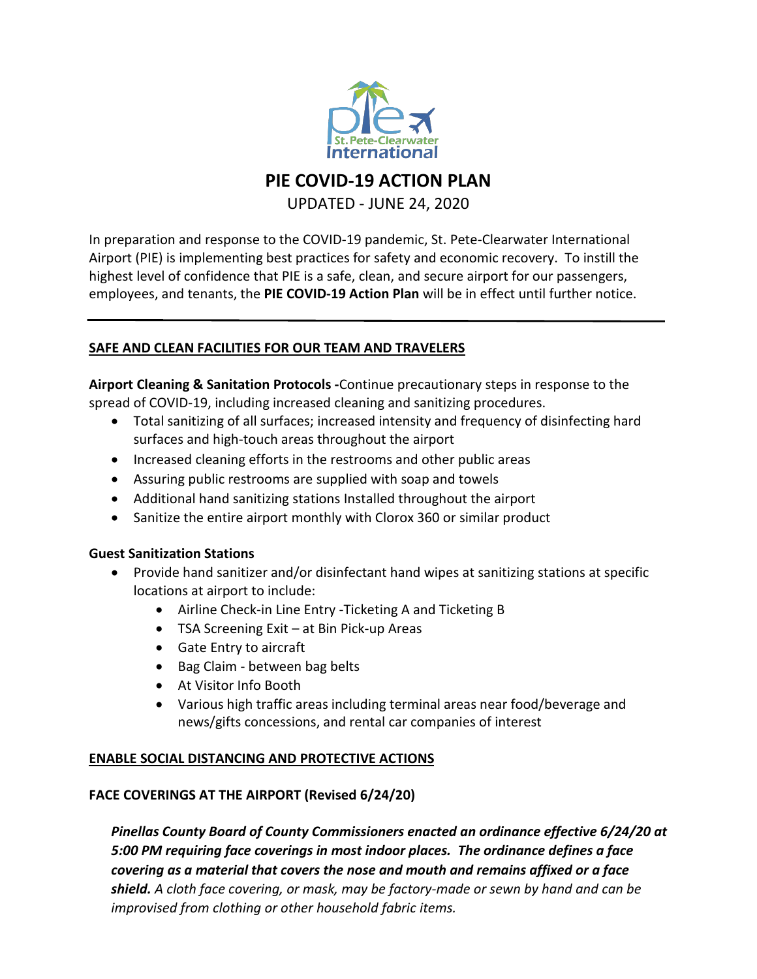

**PIE COVID-19 ACTION PLAN**

UPDATED - JUNE 24, 2020

In preparation and response to the COVID-19 pandemic, St. Pete-Clearwater International Airport (PIE) is implementing best practices for safety and economic recovery. To instill the highest level of confidence that PIE is a safe, clean, and secure airport for our passengers, employees, and tenants, the **PIE COVID-19 Action Plan** will be in effect until further notice.

### **SAFE AND CLEAN FACILITIES FOR OUR TEAM AND TRAVELERS**

**Airport Cleaning & Sanitation Protocols -**Continue precautionary steps in response to the spread of COVID-19, including increased cleaning and sanitizing procedures.

- Total sanitizing of all surfaces; increased intensity and frequency of disinfecting hard surfaces and high-touch areas throughout the airport
- Increased cleaning efforts in the restrooms and other public areas
- Assuring public restrooms are supplied with soap and towels
- Additional hand sanitizing stations Installed throughout the airport
- Sanitize the entire airport monthly with Clorox 360 or similar product

#### **Guest Sanitization Stations**

- Provide hand sanitizer and/or disinfectant hand wipes at sanitizing stations at specific locations at airport to include:
	- Airline Check-in Line Entry -Ticketing A and Ticketing B
	- TSA Screening Exit at Bin Pick-up Areas
	- Gate Entry to aircraft
	- Bag Claim between bag belts
	- At Visitor Info Booth
	- Various high traffic areas including terminal areas near food/beverage and news/gifts concessions, and rental car companies of interest

# **ENABLE SOCIAL DISTANCING AND PROTECTIVE ACTIONS**

#### **FACE COVERINGS AT THE AIRPORT (Revised 6/24/20)**

*Pinellas County Board of County Commissioners enacted an ordinance effective 6/24/20 at 5:00 PM requiring face coverings in most indoor places. The ordinance defines a face covering as a material that covers the nose and mouth and remains affixed or a face shield. A cloth face covering, or mask, may be factory-made or sewn by hand and can be improvised from clothing or other household fabric items.*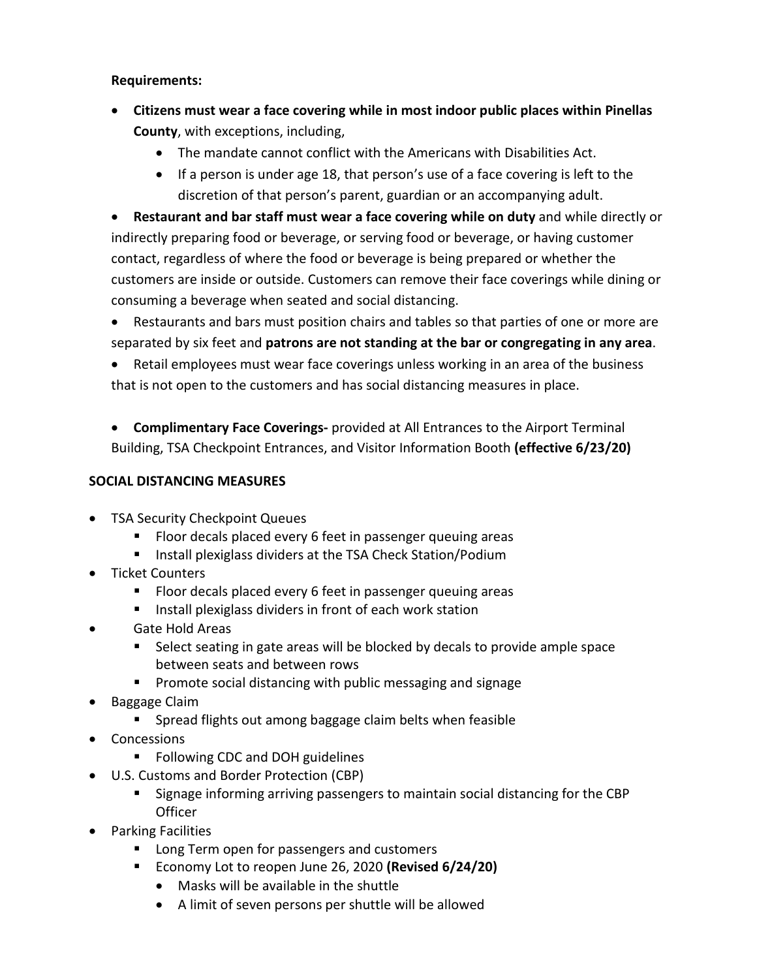#### **Requirements:**

- **Citizens must wear a face covering while in most indoor public places within Pinellas County**, with exceptions, including,
	- The mandate cannot conflict with the Americans with Disabilities Act.
	- If a person is under age 18, that person's use of a face covering is left to the discretion of that person's parent, guardian or an accompanying adult.

• **Restaurant and bar staff must wear a face covering while on duty** and while directly or indirectly preparing food or beverage, or serving food or beverage, or having customer contact, regardless of where the food or beverage is being prepared or whether the customers are inside or outside. Customers can remove their face coverings while dining or consuming a beverage when seated and social distancing.

• Restaurants and bars must position chairs and tables so that parties of one or more are separated by six feet and **patrons are not standing at the bar or congregating in any area**.

• Retail employees must wear face coverings unless working in an area of the business that is not open to the customers and has social distancing measures in place.

• **Complimentary Face Coverings-** provided at All Entrances to the Airport Terminal Building, TSA Checkpoint Entrances, and Visitor Information Booth **(effective 6/23/20)**

## **SOCIAL DISTANCING MEASURES**

- TSA Security Checkpoint Queues
	- **FIOOT decals placed every 6 feet in passenger queuing areas**
	- Install plexiglass dividers at the TSA Check Station/Podium
- Ticket Counters
	- **FIOOT decals placed every 6 feet in passenger queuing areas**
	- **IF** Install plexiglass dividers in front of each work station
- Gate Hold Areas
	- **Select seating in gate areas will be blocked by decals to provide ample space** between seats and between rows
	- **Promote social distancing with public messaging and signage**
- Baggage Claim
	- **Spread flights out among baggage claim belts when feasible**
- Concessions
	- Following CDC and DOH guidelines
- U.S. Customs and Border Protection (CBP)
	- Signage informing arriving passengers to maintain social distancing for the CBP **Officer**
- Parking Facilities
	- **Long Term open for passengers and customers**
	- Economy Lot to reopen June 26, 2020 **(Revised 6/24/20)**
		- Masks will be available in the shuttle
		- A limit of seven persons per shuttle will be allowed